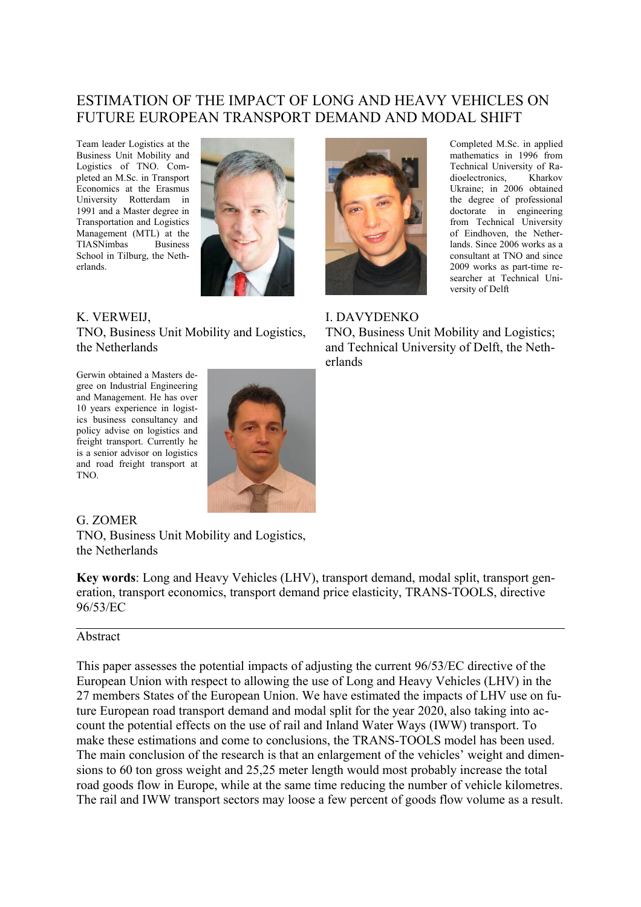# ESTIMATION OF THE IMPACT OF LONG AND HEAVY VEHICLES ON FUTURE EUROPEAN TRANSPORT DEMAND AND MODAL SHIFT

Team leader Logistics at the Business Unit Mobility and Logistics of TNO. Completed an M.Sc. in Transport Economics at the Erasmus University Rotterdam in 1991 and a Master degree in Transportation and Logistics Management (MTL) at the TIASNimbas Business School in Tilburg, the Netherlands.



#### K. VERWEIJ,

TNO, Business Unit Mobility and Logistics, the Netherlands

Gerwin obtained a Masters degree on Industrial Engineering and Management. He has over 10 years experience in logistics business consultancy and policy advise on logistics and freight transport. Currently he is a senior advisor on logistics and road freight transport at TNO.



#### G. ZOMER

TNO, Business Unit Mobility and Logistics, the Netherlands

**Key words**: Long and Heavy Vehicles (LHV), transport demand, modal split, transport generation, transport economics, transport demand price elasticity, TRANS-TOOLS, directive 96/53/EC

#### Abstract

This paper assesses the potential impacts of adjusting the current 96/53/EC directive of the European Union with respect to allowing the use of Long and Heavy Vehicles (LHV) in the 27 members States of the European Union. We have estimated the impacts of LHV use on future European road transport demand and modal split for the year 2020, also taking into account the potential effects on the use of rail and Inland Water Ways (IWW) transport. To make these estimations and come to conclusions, the TRANS-TOOLS model has been used. The main conclusion of the research is that an enlargement of the vehicles' weight and dimensions to 60 ton gross weight and 25,25 meter length would most probably increase the total road goods flow in Europe, while at the same time reducing the number of vehicle kilometres. The rail and IWW transport sectors may loose a few percent of goods flow volume as a result.



Completed M.Sc. in applied mathematics in 1996 from Technical University of Radioelectronics, Kharkov Ukraine; in 2006 obtained the degree of professional doctorate in engineering from Technical University of Eindhoven, the Netherlands. Since 2006 works as a consultant at TNO and since 2009 works as part-time researcher at Technical University of Delft

### I. DAVYDENKO

TNO, Business Unit Mobility and Logistics; and Technical University of Delft, the Netherlands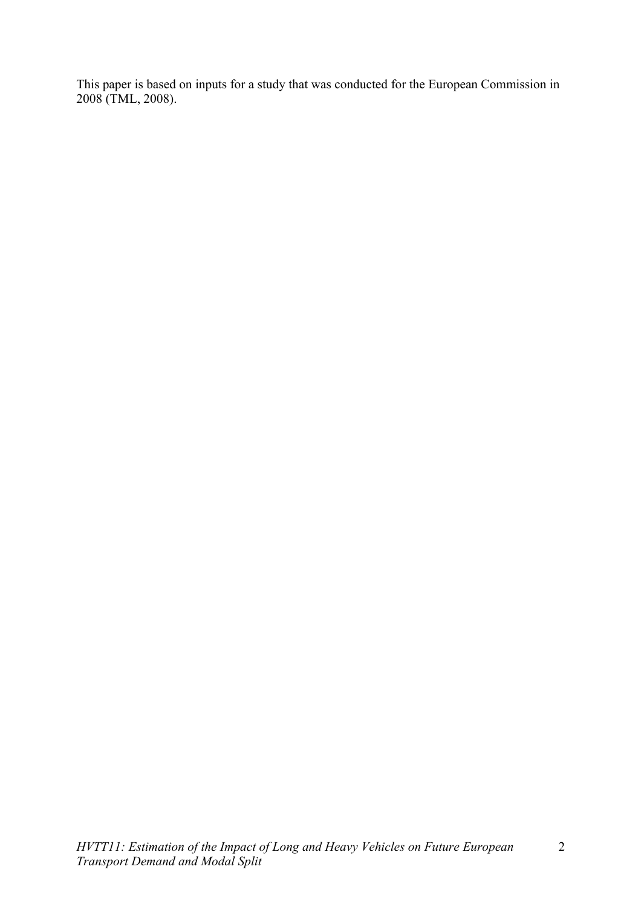This paper is based on inputs for a study that was conducted for the European Commission in 2008 (TML, 2008).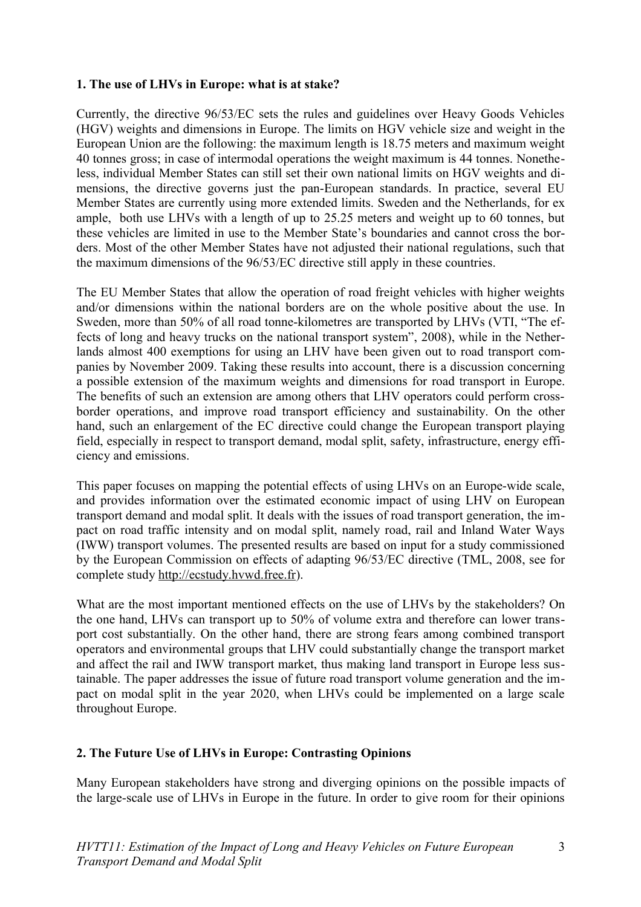### **1. The use of LHVs in Europe: what is at stake?**

Currently, the directive 96/53/EC sets the rules and guidelines over Heavy Goods Vehicles (HGV) weights and dimensions in Europe. The limits on HGV vehicle size and weight in the European Union are the following: the maximum length is 18.75 meters and maximum weight 40 tonnes gross; in case of intermodal operations the weight maximum is 44 tonnes. Nonetheless, individual Member States can still set their own national limits on HGV weights and dimensions, the directive governs just the pan-European standards. In practice, several EU Member States are currently using more extended limits. Sweden and the Netherlands, for ex ample, both use LHVs with a length of up to 25.25 meters and weight up to 60 tonnes, but these vehicles are limited in use to the Member State's boundaries and cannot cross the borders. Most of the other Member States have not adjusted their national regulations, such that the maximum dimensions of the 96/53/EC directive still apply in these countries.

The EU Member States that allow the operation of road freight vehicles with higher weights and/or dimensions within the national borders are on the whole positive about the use. In Sweden, more than 50% of all road tonne-kilometres are transported by LHVs (VTI, "The effects of long and heavy trucks on the national transport system", 2008), while in the Netherlands almost 400 exemptions for using an LHV have been given out to road transport companies by November 2009. Taking these results into account, there is a discussion concerning a possible extension of the maximum weights and dimensions for road transport in Europe. The benefits of such an extension are among others that LHV operators could perform crossborder operations, and improve road transport efficiency and sustainability. On the other hand, such an enlargement of the EC directive could change the European transport playing field, especially in respect to transport demand, modal split, safety, infrastructure, energy efficiency and emissions.

This paper focuses on mapping the potential effects of using LHVs on an Europe-wide scale, and provides information over the estimated economic impact of using LHV on European transport demand and modal split. It deals with the issues of road transport generation, the impact on road traffic intensity and on modal split, namely road, rail and Inland Water Ways (IWW) transport volumes. The presented results are based on input for a study commissioned by the European Commission on effects of adapting 96/53/EC directive (TML, 2008, see for complete study http://ecstudy.hvwd.free.fr).

What are the most important mentioned effects on the use of LHVs by the stakeholders? On the one hand, LHVs can transport up to 50% of volume extra and therefore can lower transport cost substantially. On the other hand, there are strong fears among combined transport operators and environmental groups that LHV could substantially change the transport market and affect the rail and IWW transport market, thus making land transport in Europe less sustainable. The paper addresses the issue of future road transport volume generation and the impact on modal split in the year 2020, when LHVs could be implemented on a large scale throughout Europe.

#### **2. The Future Use of LHVs in Europe: Contrasting Opinions**

Many European stakeholders have strong and diverging opinions on the possible impacts of the large-scale use of LHVs in Europe in the future. In order to give room for their opinions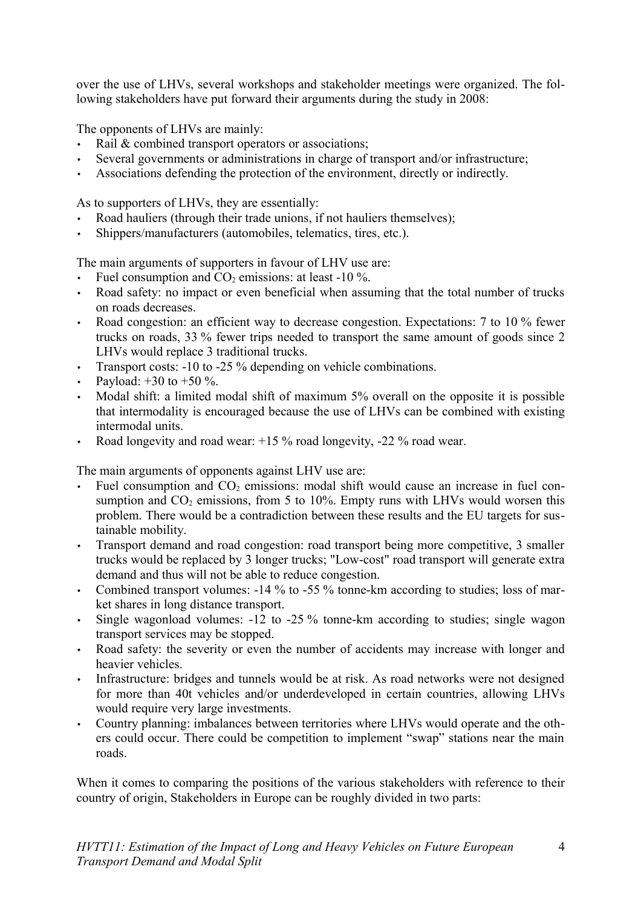over the use of LHVs, several workshops and stakeholder meetings were organized. The following stakeholders have put forward their arguments during the study in 2008:

The opponents of LHVs are mainly:

- Rail  $&$  combined transport operators or associations;
- Several governments or administrations in charge of transport and/or infrastructure;
- Associations defending the protection of the environment, directly or indirectly.

As to supporters of LHVs, they are essentially:

- Road hauliers (through their trade unions, if not hauliers themselves);
- Shippers/manufacturers (automobiles, telematics, tires, etc.).

The main arguments of supporters in favour of LHV use are:

- Fuel consumption and  $CO<sub>2</sub>$  emissions: at least -10 %.
- Road safety: no impact or even beneficial when assuming that the total number of trucks on roads decreases.
- Road congestion: an efficient way to decrease congestion. Expectations: 7 to 10 % fewer trucks on roads, 33 % fewer trips needed to transport the same amount of goods since 2 LHVs would replace 3 traditional trucks.
- Transport costs: -10 to -25 % depending on vehicle combinations.
- Payload:  $+30$  to  $+50$  %.
- Modal shift: a limited modal shift of maximum 5% overall on the opposite it is possible that intermodality is encouraged because the use of LHVs can be combined with existing intermodal units.
- Road longevity and road wear:  $+15\%$  road longevity,  $-22\%$  road wear.

The main arguments of opponents against LHV use are:

- Fuel consumption and  $CO<sub>2</sub>$  emissions: modal shift would cause an increase in fuel consumption and  $CO<sub>2</sub>$  emissions, from 5 to 10%. Empty runs with LHVs would worsen this problem. There would be a contradiction between these results and the EU targets for sustainable mobility.
- Transport demand and road congestion: road transport being more competitive, 3 smaller trucks would be replaced by 3 longer trucks; "Low-cost" road transport will generate extra demand and thus will not be able to reduce congestion.
- Combined transport volumes: -14 % to -55 % tonne-km according to studies; loss of market shares in long distance transport.
- Single wagonload volumes: -12 to -25 % tonne-km according to studies; single wagon transport services may be stopped.
- Road safety: the severity or even the number of accidents may increase with longer and heavier vehicles.
- Infrastructure: bridges and tunnels would be at risk. As road networks were not designed for more than 40t vehicles and/or underdeveloped in certain countries, allowing LHVs would require very large investments.
- Country planning: imbalances between territories where LHVs would operate and the others could occur. There could be competition to implement "swap" stations near the main roads.

When it comes to comparing the positions of the various stakeholders with reference to their country of origin, Stakeholders in Europe can be roughly divided in two parts: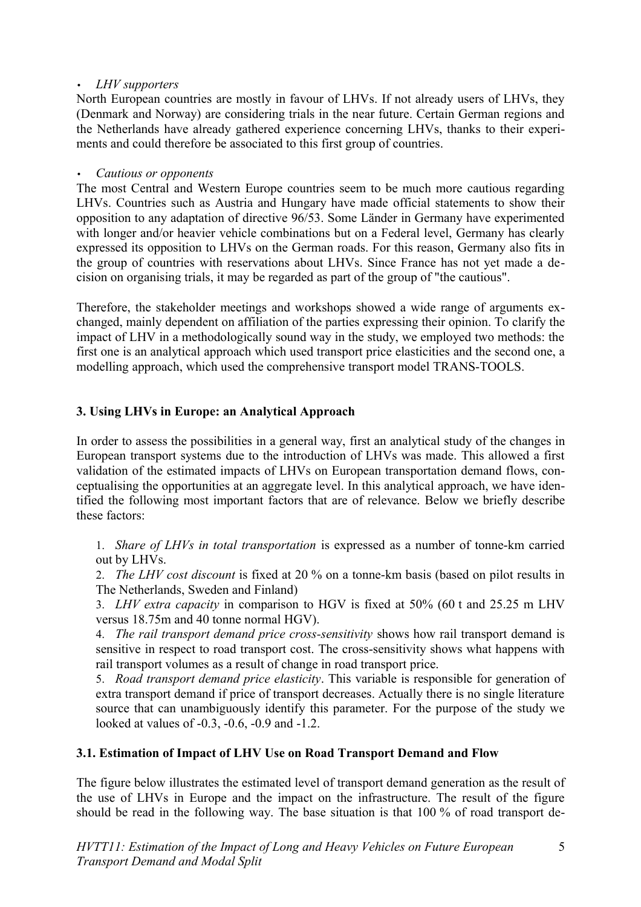### • *LHV supporters*

North European countries are mostly in favour of LHVs. If not already users of LHVs, they (Denmark and Norway) are considering trials in the near future. Certain German regions and the Netherlands have already gathered experience concerning LHVs, thanks to their experiments and could therefore be associated to this first group of countries.

### • *Cautious or opponents*

The most Central and Western Europe countries seem to be much more cautious regarding LHVs. Countries such as Austria and Hungary have made official statements to show their opposition to any adaptation of directive 96/53. Some Länder in Germany have experimented with longer and/or heavier vehicle combinations but on a Federal level, Germany has clearly expressed its opposition to LHVs on the German roads. For this reason, Germany also fits in the group of countries with reservations about LHVs. Since France has not yet made a decision on organising trials, it may be regarded as part of the group of "the cautious".

Therefore, the stakeholder meetings and workshops showed a wide range of arguments exchanged, mainly dependent on affiliation of the parties expressing their opinion. To clarify the impact of LHV in a methodologically sound way in the study, we employed two methods: the first one is an analytical approach which used transport price elasticities and the second one, a modelling approach, which used the comprehensive transport model TRANS-TOOLS.

# **3. Using LHVs in Europe: an Analytical Approach**

In order to assess the possibilities in a general way, first an analytical study of the changes in European transport systems due to the introduction of LHVs was made. This allowed a first validation of the estimated impacts of LHVs on European transportation demand flows, conceptualising the opportunities at an aggregate level. In this analytical approach, we have identified the following most important factors that are of relevance. Below we briefly describe these factors:

1. *Share of LHVs in total transportation* is expressed as a number of tonne-km carried out by LHVs.

2. *The LHV cost discount* is fixed at 20 % on a tonne-km basis (based on pilot results in The Netherlands, Sweden and Finland)

3. *LHV extra capacity* in comparison to HGV is fixed at 50% (60 t and 25.25 m LHV versus 18.75m and 40 tonne normal HGV).

4. *The rail transport demand price cross-sensitivity* shows how rail transport demand is sensitive in respect to road transport cost. The cross-sensitivity shows what happens with rail transport volumes as a result of change in road transport price.

5. *Road transport demand price elasticity*. This variable is responsible for generation of extra transport demand if price of transport decreases. Actually there is no single literature source that can unambiguously identify this parameter. For the purpose of the study we looked at values of -0.3, -0.6, -0.9 and -1.2.

# **3.1. Estimation of Impact of LHV Use on Road Transport Demand and Flow**

The figure below illustrates the estimated level of transport demand generation as the result of the use of LHVs in Europe and the impact on the infrastructure. The result of the figure should be read in the following way. The base situation is that 100 % of road transport de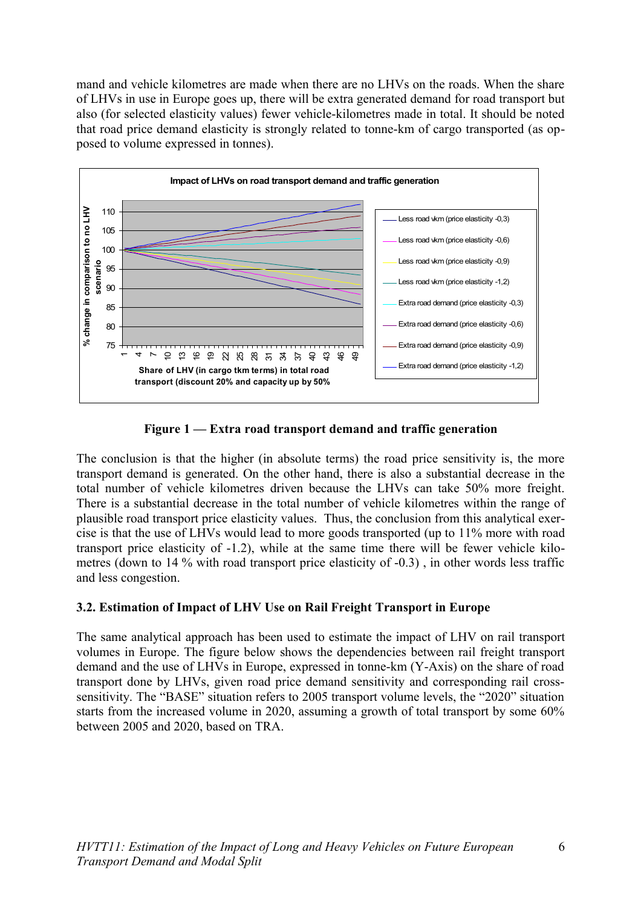mand and vehicle kilometres are made when there are no LHVs on the roads. When the share of LHVs in use in Europe goes up, there will be extra generated demand for road transport but also (for selected elasticity values) fewer vehicle-kilometres made in total. It should be noted that road price demand elasticity is strongly related to tonne-km of cargo transported (as opposed to volume expressed in tonnes).



**Figure 1 — Extra road transport demand and traffic generation**

The conclusion is that the higher (in absolute terms) the road price sensitivity is, the more transport demand is generated. On the other hand, there is also a substantial decrease in the total number of vehicle kilometres driven because the LHVs can take 50% more freight. There is a substantial decrease in the total number of vehicle kilometres within the range of plausible road transport price elasticity values. Thus, the conclusion from this analytical exercise is that the use of LHVs would lead to more goods transported (up to 11% more with road transport price elasticity of -1.2), while at the same time there will be fewer vehicle kilometres (down to 14 % with road transport price elasticity of -0.3) , in other words less traffic and less congestion.

# **3.2. Estimation of Impact of LHV Use on Rail Freight Transport in Europe**

The same analytical approach has been used to estimate the impact of LHV on rail transport volumes in Europe. The figure below shows the dependencies between rail freight transport demand and the use of LHVs in Europe, expressed in tonne-km (Y-Axis) on the share of road transport done by LHVs, given road price demand sensitivity and corresponding rail crosssensitivity. The "BASE" situation refers to 2005 transport volume levels, the "2020" situation starts from the increased volume in 2020, assuming a growth of total transport by some 60% between 2005 and 2020, based on TRA.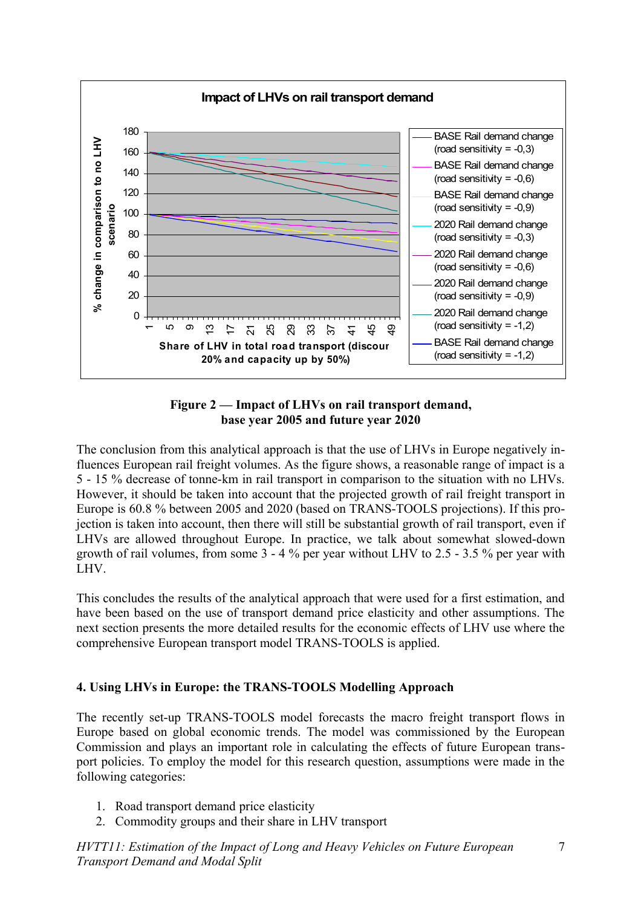

#### **Figure 2 — Impact of LHVs on rail transport demand, base year 2005 and future year 2020**

The conclusion from this analytical approach is that the use of LHVs in Europe negatively influences European rail freight volumes. As the figure shows, a reasonable range of impact is a 5 - 15 % decrease of tonne-km in rail transport in comparison to the situation with no LHVs. However, it should be taken into account that the projected growth of rail freight transport in Europe is 60.8 % between 2005 and 2020 (based on TRANS-TOOLS projections). If this projection is taken into account, then there will still be substantial growth of rail transport, even if LHVs are allowed throughout Europe. In practice, we talk about somewhat slowed-down growth of rail volumes, from some 3 - 4 % per year without LHV to 2.5 - 3.5 % per year with LHV.

This concludes the results of the analytical approach that were used for a first estimation, and have been based on the use of transport demand price elasticity and other assumptions. The next section presents the more detailed results for the economic effects of LHV use where the comprehensive European transport model TRANS-TOOLS is applied.

# **4. Using LHVs in Europe: the TRANS-TOOLS Modelling Approach**

The recently set-up TRANS-TOOLS model forecasts the macro freight transport flows in Europe based on global economic trends. The model was commissioned by the European Commission and plays an important role in calculating the effects of future European transport policies. To employ the model for this research question, assumptions were made in the following categories:

- 1. Road transport demand price elasticity
- 2. Commodity groups and their share in LHV transport

*HVTT11: Estimation of the Impact of Long and Heavy Vehicles on Future European Transport Demand and Modal Split*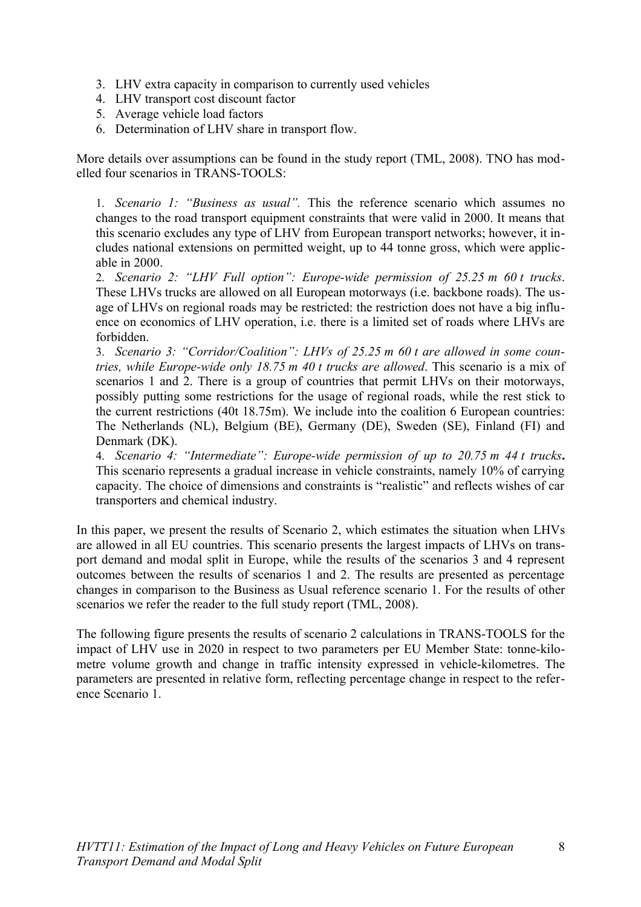- 3. LHV extra capacity in comparison to currently used vehicles
- 4. LHV transport cost discount factor
- 5. Average vehicle load factors
- 6. Determination of LHV share in transport flow.

More details over assumptions can be found in the study report (TML, 2008). TNO has modelled four scenarios in TRANS-TOOLS:

1. *Scenario 1: "Business as usual".* This the reference scenario which assumes no changes to the road transport equipment constraints that were valid in 2000. It means that this scenario excludes any type of LHV from European transport networks; however, it includes national extensions on permitted weight, up to 44 tonne gross, which were applicable in 2000.

2. *Scenario 2: "LHV Full option": Europe-wide permission of 25.25 m 60 t trucks*. These LHVs trucks are allowed on all European motorways (i.e. backbone roads). The usage of LHVs on regional roads may be restricted: the restriction does not have a big influence on economics of LHV operation, i.e. there is a limited set of roads where LHVs are forbidden.

3. *Scenario 3: "Corridor/Coalition": LHVs of 25.25 m 60 t are allowed in some countries, while Europe-wide only 18.75 m 40 t trucks are allowed*. This scenario is a mix of scenarios 1 and 2. There is a group of countries that permit LHVs on their motorways, possibly putting some restrictions for the usage of regional roads, while the rest stick to the current restrictions (40t 18.75m). We include into the coalition 6 European countries: The Netherlands (NL), Belgium (BE), Germany (DE), Sweden (SE), Finland (FI) and Denmark (DK).

4. *Scenario 4: "Intermediate": Europe-wide permission of up to 20.75 m 44 t trucks***.** This scenario represents a gradual increase in vehicle constraints, namely 10% of carrying capacity. The choice of dimensions and constraints is "realistic" and reflects wishes of car transporters and chemical industry.

In this paper, we present the results of Scenario 2, which estimates the situation when LHVs are allowed in all EU countries. This scenario presents the largest impacts of LHVs on transport demand and modal split in Europe, while the results of the scenarios 3 and 4 represent outcomes between the results of scenarios 1 and 2. The results are presented as percentage changes in comparison to the Business as Usual reference scenario 1. For the results of other scenarios we refer the reader to the full study report (TML, 2008).

The following figure presents the results of scenario 2 calculations in TRANS-TOOLS for the impact of LHV use in 2020 in respect to two parameters per EU Member State: tonne-kilometre volume growth and change in traffic intensity expressed in vehicle-kilometres. The parameters are presented in relative form, reflecting percentage change in respect to the reference Scenario 1.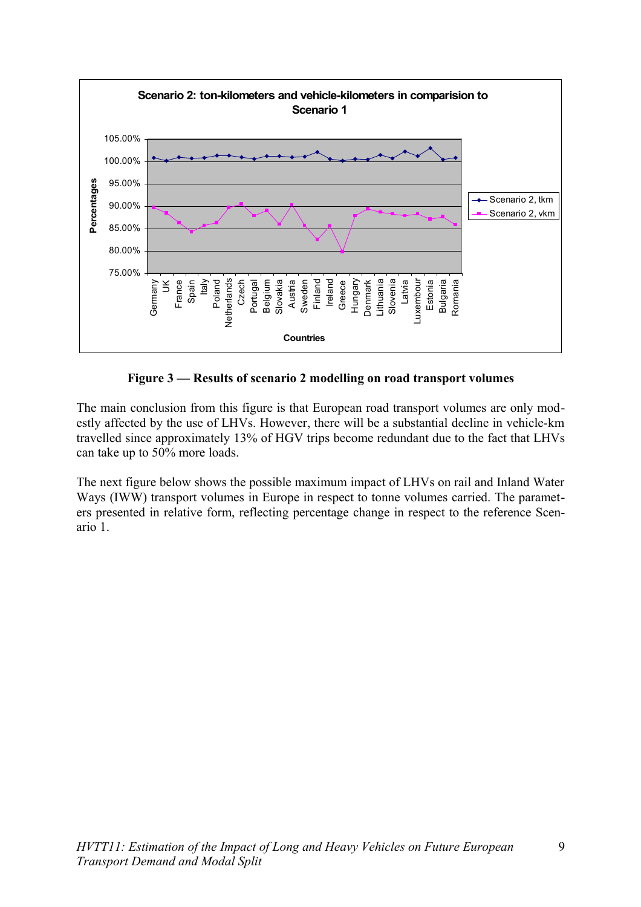

**Figure 3 — Results of scenario 2 modelling on road transport volumes**

The main conclusion from this figure is that European road transport volumes are only modestly affected by the use of LHVs. However, there will be a substantial decline in vehicle-km travelled since approximately 13% of HGV trips become redundant due to the fact that LHVs can take up to 50% more loads.

The next figure below shows the possible maximum impact of LHVs on rail and Inland Water Ways (IWW) transport volumes in Europe in respect to tonne volumes carried. The parameters presented in relative form, reflecting percentage change in respect to the reference Scenario 1.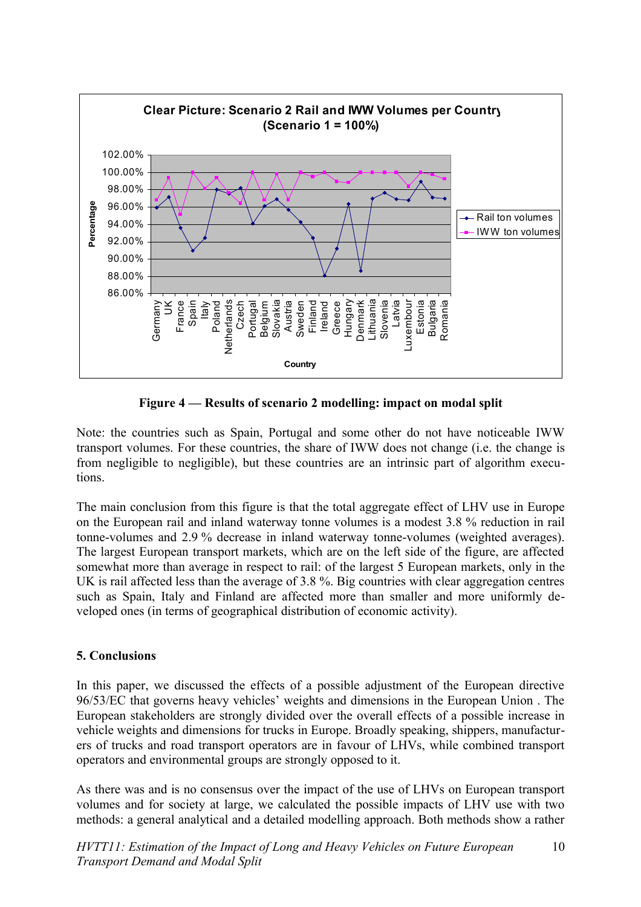

**Figure 4 — Results of scenario 2 modelling: impact on modal split**

Note: the countries such as Spain, Portugal and some other do not have noticeable IWW transport volumes. For these countries, the share of IWW does not change (i.e. the change is from negligible to negligible), but these countries are an intrinsic part of algorithm executions.

The main conclusion from this figure is that the total aggregate effect of LHV use in Europe on the European rail and inland waterway tonne volumes is a modest 3.8 % reduction in rail tonne-volumes and 2.9 % decrease in inland waterway tonne-volumes (weighted averages). The largest European transport markets, which are on the left side of the figure, are affected somewhat more than average in respect to rail: of the largest 5 European markets, only in the UK is rail affected less than the average of 3.8 %. Big countries with clear aggregation centres such as Spain, Italy and Finland are affected more than smaller and more uniformly developed ones (in terms of geographical distribution of economic activity).

#### **5. Conclusions**

In this paper, we discussed the effects of a possible adjustment of the European directive 96/53/EC that governs heavy vehicles' weights and dimensions in the European Union . The European stakeholders are strongly divided over the overall effects of a possible increase in vehicle weights and dimensions for trucks in Europe. Broadly speaking, shippers, manufacturers of trucks and road transport operators are in favour of LHVs, while combined transport operators and environmental groups are strongly opposed to it.

As there was and is no consensus over the impact of the use of LHVs on European transport volumes and for society at large, we calculated the possible impacts of LHV use with two methods: a general analytical and a detailed modelling approach. Both methods show a rather

*HVTT11: Estimation of the Impact of Long and Heavy Vehicles on Future European Transport Demand and Modal Split* 10